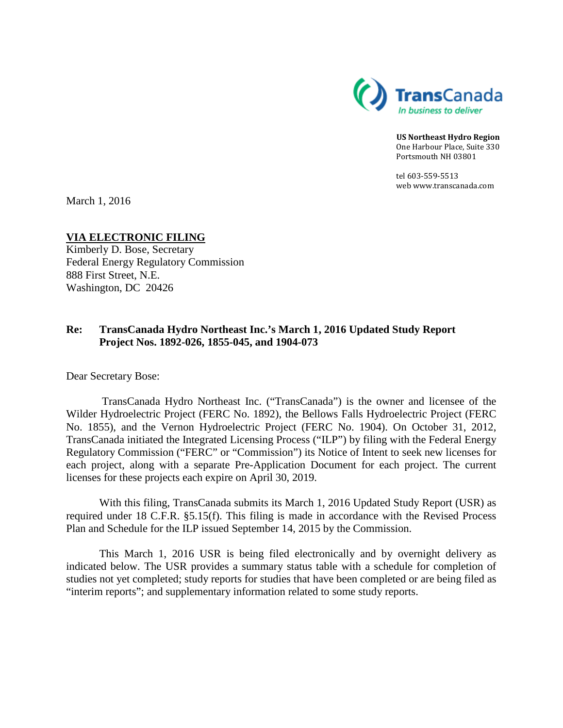

**US Northeast Hydro Region** One Harbour Place, Suite 330 Portsmouth NH 03801

tel 603-559-5513 web www.transcanada.com

March 1, 2016

### **VIA ELECTRONIC FILING**

Kimberly D. Bose, Secretary Federal Energy Regulatory Commission 888 First Street, N.E. Washington, DC 20426

## **Re: TransCanada Hydro Northeast Inc.'s March 1, 2016 Updated Study Report Project Nos. 1892-026, 1855-045, and 1904-073**

Dear Secretary Bose:

TransCanada Hydro Northeast Inc. ("TransCanada") is the owner and licensee of the Wilder Hydroelectric Project (FERC No. 1892), the Bellows Falls Hydroelectric Project (FERC No. 1855), and the Vernon Hydroelectric Project (FERC No. 1904). On October 31, 2012, TransCanada initiated the Integrated Licensing Process ("ILP") by filing with the Federal Energy Regulatory Commission ("FERC" or "Commission") its Notice of Intent to seek new licenses for each project, along with a separate Pre-Application Document for each project. The current licenses for these projects each expire on April 30, 2019.

With this filing, TransCanada submits its March 1, 2016 Updated Study Report (USR) as required under 18 C.F.R. §5.15(f). This filing is made in accordance with the Revised Process Plan and Schedule for the ILP issued September 14, 2015 by the Commission.

This March 1, 2016 USR is being filed electronically and by overnight delivery as indicated below. The USR provides a summary status table with a schedule for completion of studies not yet completed; study reports for studies that have been completed or are being filed as "interim reports"; and supplementary information related to some study reports.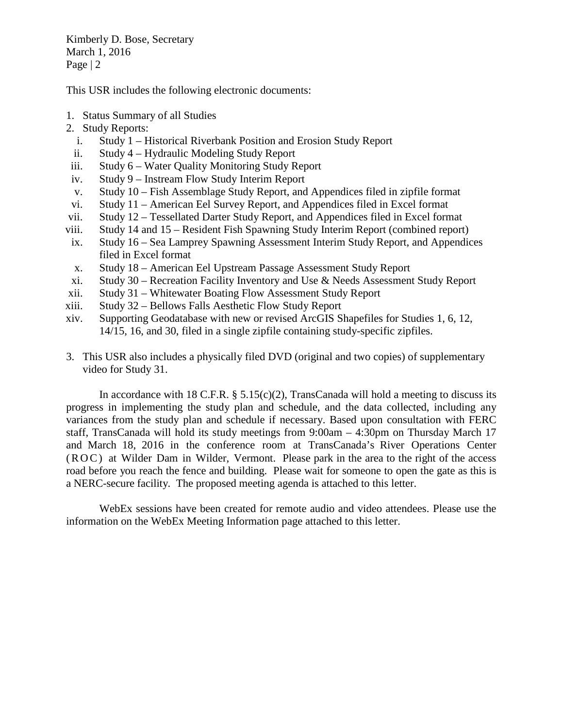Kimberly D. Bose, Secretary March 1, 2016 Page | 2

This USR includes the following electronic documents:

- 1. Status Summary of all Studies
- 2. Study Reports:
	- i. Study 1 Historical Riverbank Position and Erosion Study Report
- ii. Study 4 Hydraulic Modeling Study Report
- iii. Study 6 Water Quality Monitoring Study Report
- iv. Study 9 Instream Flow Study Interim Report
- v. Study 10 Fish Assemblage Study Report, and Appendices filed in zipfile format
- vi. Study 11 American Eel Survey Report, and Appendices filed in Excel format
- vii. Study 12 Tessellated Darter Study Report, and Appendices filed in Excel format
- viii. Study 14 and 15 Resident Fish Spawning Study Interim Report (combined report)
- ix. Study 16 Sea Lamprey Spawning Assessment Interim Study Report, and Appendices filed in Excel format
- x. Study 18 American Eel Upstream Passage Assessment Study Report
- xi. Study 30 Recreation Facility Inventory and Use & Needs Assessment Study Report
- xii. Study 31 Whitewater Boating Flow Assessment Study Report
- xiii. Study 32 Bellows Falls Aesthetic Flow Study Report
- xiv. Supporting Geodatabase with new or revised ArcGIS Shapefiles for Studies 1, 6, 12, 14/15, 16, and 30, filed in a single zipfile containing study-specific zipfiles.
- 3. This USR also includes a physically filed DVD (original and two copies) of supplementary video for Study 31.

In accordance with 18 C.F.R.  $\S$  5.15(c)(2), TransCanada will hold a meeting to discuss its progress in implementing the study plan and schedule, and the data collected, including any variances from the study plan and schedule if necessary. Based upon consultation with FERC staff, TransCanada will hold its study meetings from 9:00am – 4:30pm on Thursday March 17 and March 18, 2016 in the conference room at TransCanada's River Operations Center (ROC) at Wilder Dam in Wilder, Vermont. Please park in the area to the right of the access road before you reach the fence and building. Please wait for someone to open the gate as this is a NERC-secure facility. The proposed meeting agenda is attached to this letter.

WebEx sessions have been created for remote audio and video attendees. Please use the information on the WebEx Meeting Information page attached to this letter.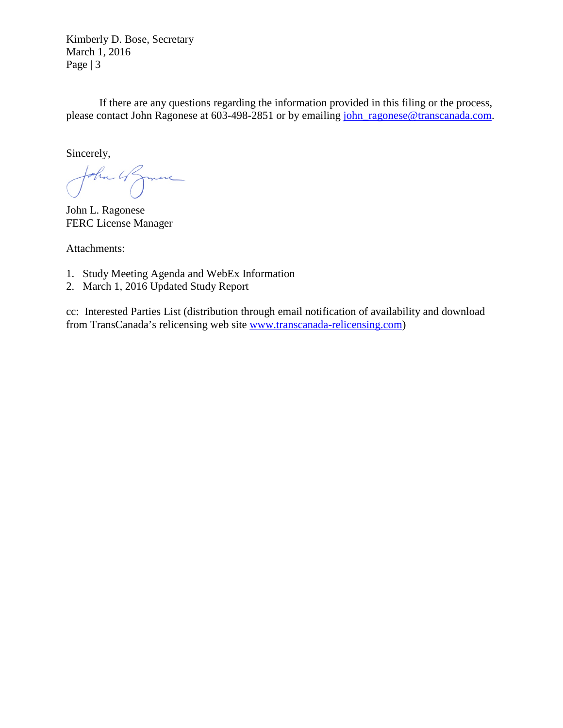Kimberly D. Bose, Secretary March 1, 2016 Page | 3

If there are any questions regarding the information provided in this filing or the process, please contact John Ragonese at 603-498-2851 or by emailing [john\\_ragonese@transcanada.com.](mailto:john_ragonese@transcanada.com)

Sincerely,

John 4 Jame

John L. Ragonese FERC License Manager

Attachments:

- 1. Study Meeting Agenda and WebEx Information
- 2. March 1, 2016 Updated Study Report

cc: Interested Parties List (distribution through email notification of availability and download from TransCanada's relicensing web site [www.transcanada-relicensing.com\)](http://www.transcanada-relicensing.com/)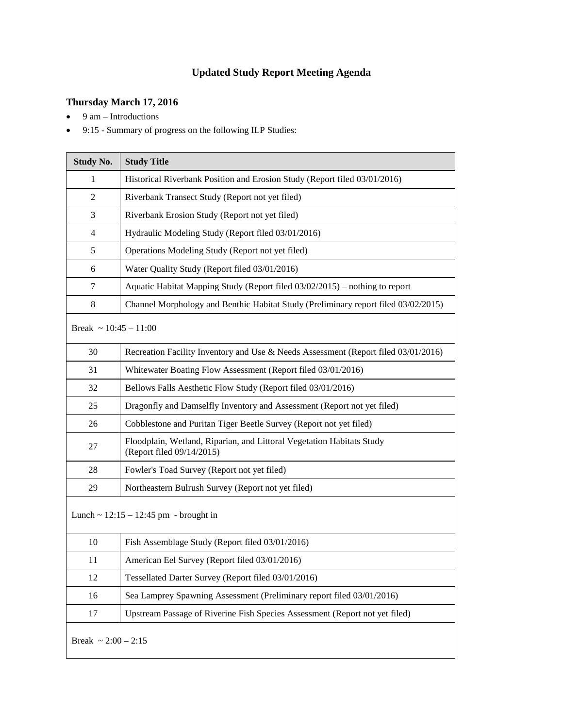# **Updated Study Report Meeting Agenda**

## **Thursday March 17, 2016**

- $\bullet$  9 am Introductions
- 9:15 Summary of progress on the following ILP Studies:

| <b>Study No.</b>                        | <b>Study Title</b>                                                                                 |  |  |
|-----------------------------------------|----------------------------------------------------------------------------------------------------|--|--|
| $\mathbf{1}$                            | Historical Riverbank Position and Erosion Study (Report filed 03/01/2016)                          |  |  |
| $\overline{2}$                          | Riverbank Transect Study (Report not yet filed)                                                    |  |  |
| 3                                       | Riverbank Erosion Study (Report not yet filed)                                                     |  |  |
| $\overline{4}$                          | Hydraulic Modeling Study (Report filed 03/01/2016)                                                 |  |  |
| 5                                       | Operations Modeling Study (Report not yet filed)                                                   |  |  |
| 6                                       | Water Quality Study (Report filed 03/01/2016)                                                      |  |  |
| 7                                       | Aquatic Habitat Mapping Study (Report filed 03/02/2015) – nothing to report                        |  |  |
| 8                                       | Channel Morphology and Benthic Habitat Study (Preliminary report filed 03/02/2015)                 |  |  |
| Break ~ $10:45 - 11:00$                 |                                                                                                    |  |  |
| 30                                      | Recreation Facility Inventory and Use & Needs Assessment (Report filed 03/01/2016)                 |  |  |
| 31                                      | Whitewater Boating Flow Assessment (Report filed 03/01/2016)                                       |  |  |
| 32                                      | Bellows Falls Aesthetic Flow Study (Report filed 03/01/2016)                                       |  |  |
| 25                                      | Dragonfly and Damselfly Inventory and Assessment (Report not yet filed)                            |  |  |
| 26                                      | Cobblestone and Puritan Tiger Beetle Survey (Report not yet filed)                                 |  |  |
| 27                                      | Floodplain, Wetland, Riparian, and Littoral Vegetation Habitats Study<br>(Report filed 09/14/2015) |  |  |
| 28                                      | Fowler's Toad Survey (Report not yet filed)                                                        |  |  |
| 29                                      | Northeastern Bulrush Survey (Report not yet filed)                                                 |  |  |
| Lunch ~ $12:15 - 12:45$ pm - brought in |                                                                                                    |  |  |
| 10                                      | Fish Assemblage Study (Report filed 03/01/2016)                                                    |  |  |
| 11                                      | American Eel Survey (Report filed 03/01/2016)                                                      |  |  |
| 12                                      | Tessellated Darter Survey (Report filed 03/01/2016)                                                |  |  |
| 16                                      | Sea Lamprey Spawning Assessment (Preliminary report filed 03/01/2016)                              |  |  |
| 17                                      | Upstream Passage of Riverine Fish Species Assessment (Report not yet filed)                        |  |  |
| Break ~ $2:00 - 2:15$                   |                                                                                                    |  |  |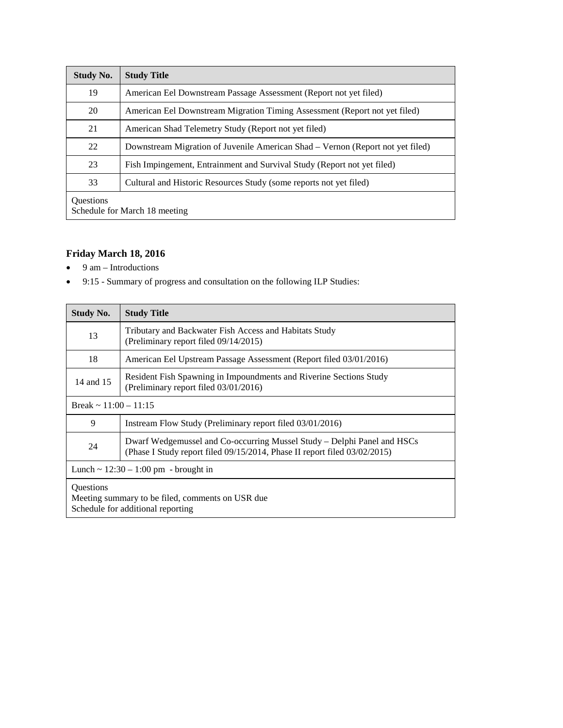| <b>Study No.</b>                                  | <b>Study Title</b>                                                             |  |
|---------------------------------------------------|--------------------------------------------------------------------------------|--|
| 19                                                | American Eel Downstream Passage Assessment (Report not yet filed)              |  |
| 20                                                | American Eel Downstream Migration Timing Assessment (Report not yet filed)     |  |
| 21                                                | American Shad Telemetry Study (Report not yet filed)                           |  |
| 22                                                | Downstream Migration of Juvenile American Shad – Vernon (Report not yet filed) |  |
| 23                                                | Fish Impingement, Entrainment and Survival Study (Report not yet filed)        |  |
| 33                                                | Cultural and Historic Resources Study (some reports not yet filed)             |  |
| <b>Ouestions</b><br>Schedule for March 18 meeting |                                                                                |  |

## **Friday March 18, 2016**

- $\bullet$  9 am Introductions
- 9:15 Summary of progress and consultation on the following ILP Studies:

| <b>Study No.</b>                                                                                          | <b>Study Title</b>                                                                                                                                   |  |
|-----------------------------------------------------------------------------------------------------------|------------------------------------------------------------------------------------------------------------------------------------------------------|--|
| 13                                                                                                        | Tributary and Backwater Fish Access and Habitats Study<br>(Preliminary report filed 09/14/2015)                                                      |  |
| 18                                                                                                        | American Eel Upstream Passage Assessment (Report filed 03/01/2016)                                                                                   |  |
| 14 and 15                                                                                                 | Resident Fish Spawning in Impoundments and Riverine Sections Study<br>(Preliminary report filed 03/01/2016)                                          |  |
| Break $\sim$ 11:00 – 11:15                                                                                |                                                                                                                                                      |  |
| 9                                                                                                         | Instream Flow Study (Preliminary report filed 03/01/2016)                                                                                            |  |
| 24                                                                                                        | Dwarf Wedgemussel and Co-occurring Mussel Study – Delphi Panel and HSCs<br>(Phase I Study report filed 09/15/2014, Phase II report filed 03/02/2015) |  |
| Lunch $\sim 12:30 - 1:00$ pm - brought in                                                                 |                                                                                                                                                      |  |
| <b>Ouestions</b><br>Meeting summary to be filed, comments on USR due<br>Schedule for additional reporting |                                                                                                                                                      |  |